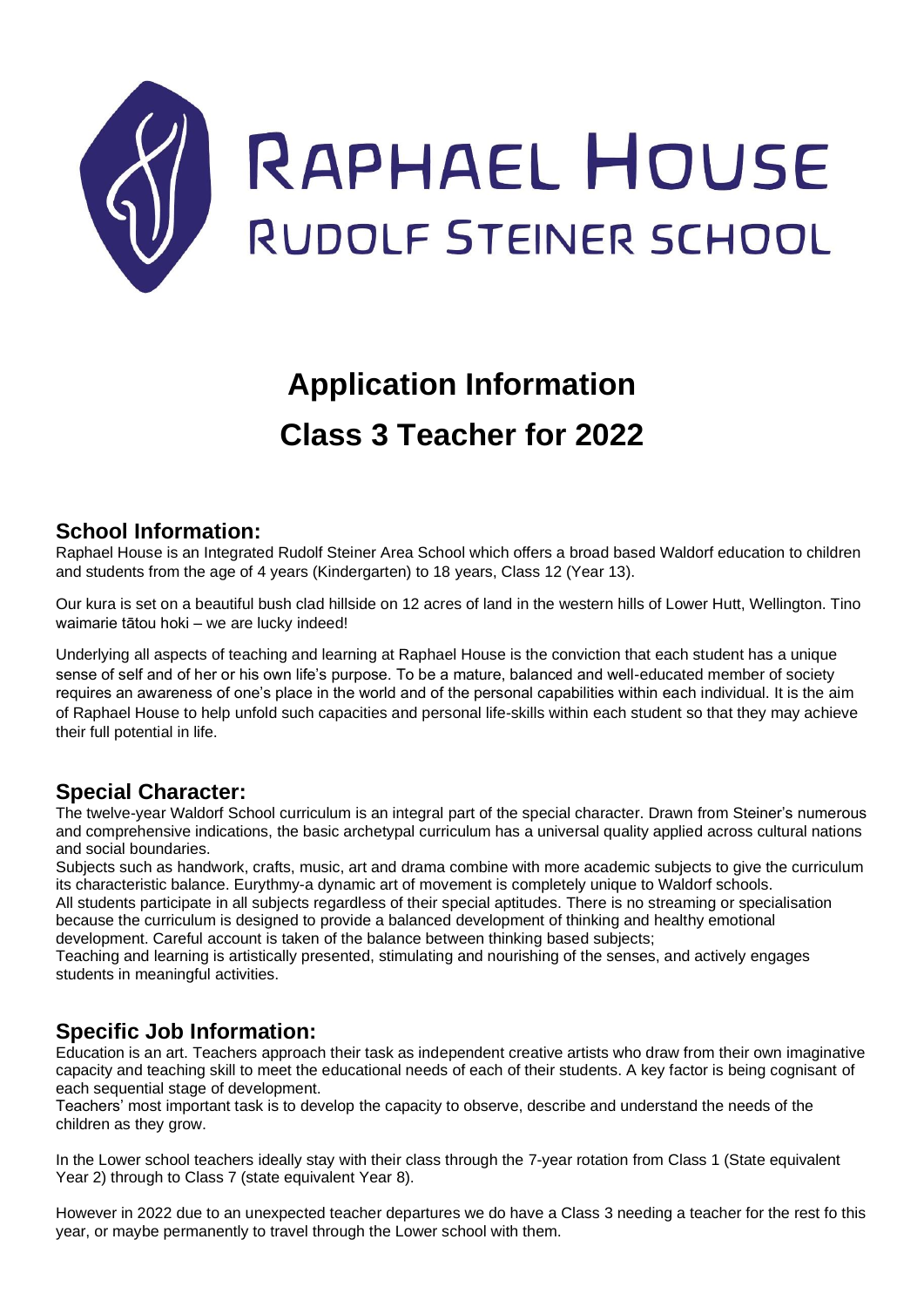

# **Application Information Class 3 Teacher for 2022**

# **School Information:**

Raphael House is an Integrated Rudolf Steiner Area School which offers a broad based Waldorf education to children and students from the age of 4 years (Kindergarten) to 18 years, Class 12 (Year 13).

Our kura is set on a beautiful bush clad hillside on 12 acres of land in the western hills of Lower Hutt, Wellington. Tino waimarie tātou hoki – we are lucky indeed!

Underlying all aspects of teaching and learning at Raphael House is the conviction that each student has a unique sense of self and of her or his own life's purpose. To be a mature, balanced and well-educated member of society requires an awareness of one's place in the world and of the personal capabilities within each individual. It is the aim of Raphael House to help unfold such capacities and personal life-skills within each student so that they may achieve their full potential in life.

# **Special Character:**

The twelve-year Waldorf School curriculum is an integral part of the special character. Drawn from Steiner's numerous and comprehensive indications, the basic archetypal curriculum has a universal quality applied across cultural nations and social boundaries.

Subjects such as handwork, crafts, music, art and drama combine with more academic subjects to give the curriculum its characteristic balance. Eurythmy-a dynamic art of movement is completely unique to Waldorf schools. All students participate in all subjects regardless of their special aptitudes. There is no streaming or specialisation

because the curriculum is designed to provide a balanced development of thinking and healthy emotional development. Careful account is taken of the balance between thinking based subjects;

Teaching and learning is artistically presented, stimulating and nourishing of the senses, and actively engages students in meaningful activities.

# **Specific Job Information:**

Education is an art. Teachers approach their task as independent creative artists who draw from their own imaginative capacity and teaching skill to meet the educational needs of each of their students. A key factor is being cognisant of each sequential stage of development.

Teachers' most important task is to develop the capacity to observe, describe and understand the needs of the children as they grow.

In the Lower school teachers ideally stay with their class through the 7-year rotation from Class 1 (State equivalent Year 2) through to Class 7 (state equivalent Year 8).

However in 2022 due to an unexpected teacher departures we do have a Class 3 needing a teacher for the rest fo this year, or maybe permanently to travel through the Lower school with them.